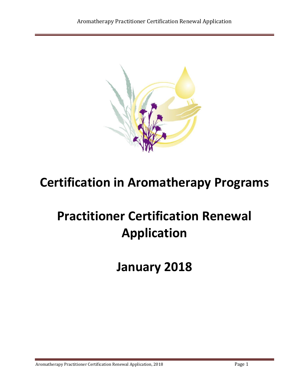

# **Certification in Aromatherapy Programs**

# **Practitioner Certification Renewal Application**

**January 2018**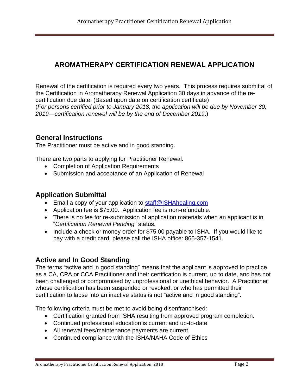# **AROMATHERAPY CERTIFICATION RENEWAL APPLICATION**

Renewal of the certification is required every two years. This process requires submittal of the Certification in Aromatherapy Renewal Application 30 days in advance of the recertification due date. (Based upon date on certification certificate) (*For persons certified prior to January 2018, the application will be due by November 30, 2019—certification renewal will be by the end of December 2019*.)

### **General Instructions**

The Practitioner must be active and in good standing.

There are two parts to applying for Practitioner Renewal.

- Completion of Application Requirements
- Submission and acceptance of an Application of Renewal

### **Application Submittal**

- Email a copy of your application to [staff@ISHAhealing.com](mailto:staff@ISHAhealing.com)
- Application fee is \$75.00. Application fee is non-refundable.
- There is no fee for re-submission of application materials when an applicant is in "*Certification Renewal Pending*" status.
- Include a check or money order for \$75.00 payable to ISHA. If you would like to pay with a credit card, please call the ISHA office: 865-357-1541.

## **Active and In Good Standing**

The terms "active and in good standing" means that the applicant is approved to practice as a CA, CPA or CCA Practitioner and their certification is current, up to date, and has not been challenged or compromised by unprofessional or unethical behavior. A Practitioner whose certification has been suspended or revoked, or who has permitted their certification to lapse into an inactive status is not "active and in good standing".

The following criteria must be met to avoid being disenfranchised:

- Certification granted from ISHA resulting from approved program completion.
- Continued professional education is current and up-to-date
- All renewal fees/maintenance payments are current
- Continued compliance with the ISHA/NAHA Code of Ethics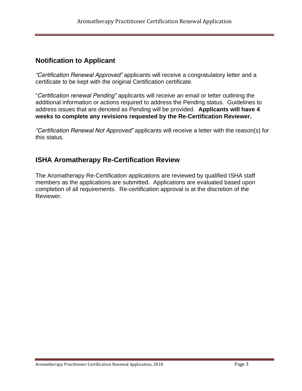## **Notification to Applicant**

*"Certification Renewal Approved"* applicants will receive a congratulatory letter and a certificate to be kept with the original Certification certificate.

"*Certification renewal Pending"* applicants will receive an email or letter outlining the additional information or actions required to address the Pending status. Guidelines to address issues that are denoted as Pending will be provided. **Applicants will have 4 weeks to complete any revisions requested by the Re-Certification Reviewer.**

*"Certification Renewal Not Approved"* applicants will receive a letter with the reason(s) for this status.

# **ISHA Aromatherapy Re-Certification Review**

The Aromatherapy Re-Certification applications are reviewed by qualified ISHA staff members as the applications are submitted. Applications are evaluated based upon completion of all requirements. Re-certification approval is at the discretion of the Reviewer.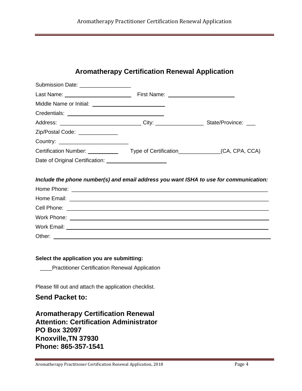| Aromatherapy Practitioner Certification Renewal Application |  |  |  |
|-------------------------------------------------------------|--|--|--|
|-------------------------------------------------------------|--|--|--|

# **Aromatherapy Certification Renewal Application**

| Submission Date: ___________________                                                      |  |
|-------------------------------------------------------------------------------------------|--|
|                                                                                           |  |
|                                                                                           |  |
|                                                                                           |  |
| Address: _______________________________City: _______________________State/Province: ____ |  |
|                                                                                           |  |
|                                                                                           |  |
|                                                                                           |  |
| Date of Original Certification: ________________________                                  |  |
| Include the phone number(s) and email address you want ISHA to use for communication:     |  |
|                                                                                           |  |
|                                                                                           |  |
|                                                                                           |  |
|                                                                                           |  |
|                                                                                           |  |
| Select the application you are submitting:                                                |  |
| <b>Practitioner Certification Renewal Application</b>                                     |  |

Please fill out and attach the application checklist.

# **Send Packet to:**

**Aromatherapy Certification Renewal Attention: Certification Administrator PO Box 32097 Knoxville,TN 37930 Phone: 865-357-1541**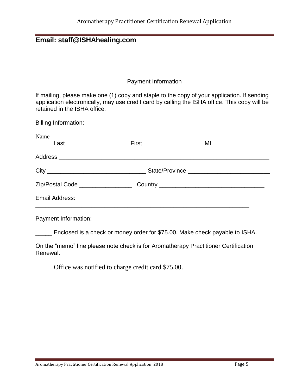# **Email: staff@ISHAhealing.com**

#### Payment Information

If mailing, please make one (1) copy and staple to the copy of your application. If sending application electronically, may use credit card by calling the ISHA office. This copy will be retained in the ISHA office.

Billing Information:

| Name                              |       |    |  |
|-----------------------------------|-------|----|--|
| Last                              | First | MI |  |
|                                   |       |    |  |
|                                   |       |    |  |
| Zip/Postal Code _________________ |       |    |  |
| Email Address:                    |       |    |  |
|                                   |       |    |  |

Payment Information:

\_\_\_\_\_ Enclosed is a check or money order for \$75.00. Make check payable to ISHA.

On the "memo" line please note check is for Aromatherapy Practitioner Certification Renewal.

\_\_\_\_\_ Office was notified to charge credit card \$75.00.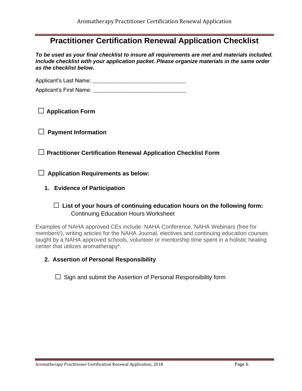# **Practitioner Certification Renewal Application Checklist**

*To be used as your final checklist to insure all requirements are met and materials included. Include checklist with your application packet. Please organize materials in the same order as the checklist below.*

Applicant's Last Name: \_\_\_\_\_\_\_\_\_\_\_\_\_\_\_\_\_\_\_\_\_\_\_\_\_\_\_\_\_\_\_

Applicant's First Name: **Example 20** 

**□ Application Form**

**□ Payment Information** 

**□ Practitioner Certification Renewal Application Checklist Form**

**□ Application Requirements as below:**

**1. Evidence of Participation**

#### □ **List of your hours of continuing education hours on the following form:** Continuing Education Hours Worksheet

Examples of NAHA approved CEs include: NAHA Conference, NAHA Webinars (free for members!), writing articles for the NAHA Journal, electives and continuing education courses taught by a NAHA approved schools, volunteer or mentorship time spent in a holistic healing center that utilizes aromatherapy\*.

- **2. Assertion of Personal Responsibility**
	- $\square$  Sign and submit the Assertion of Personal Responsibility form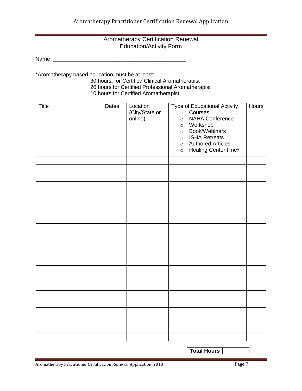#### Aromatherapy Certification Renewal Education/Activity Form

Name \_\_\_\_\_\_\_\_\_\_\_\_\_\_\_\_\_\_\_\_\_\_\_\_\_\_\_\_\_\_\_\_\_\_\_\_\_\_\_\_\_\_\_\_

\*Aromatherapy based education must be at least:

30 hours: for Certified Clinical Aromatherapist 20 hours for Certified Professional Aromatherapist 10 hours for Certified Aromatherapist

| Title | Dates | Location<br>(City/State or<br>online) | <b>Type of Educational Activity</b><br>Courses<br>$\circ$<br><b>NAHA Conference</b><br>$\circ$<br>o Workshop<br>Book/Webinars<br>$\circ$<br>o ISHA Retreats<br>o Authored Articles<br>Healing Center time*<br>$\circ$ | <b>Hours</b> |
|-------|-------|---------------------------------------|-----------------------------------------------------------------------------------------------------------------------------------------------------------------------------------------------------------------------|--------------|
|       |       |                                       |                                                                                                                                                                                                                       |              |
|       |       |                                       |                                                                                                                                                                                                                       |              |
|       |       |                                       |                                                                                                                                                                                                                       |              |
|       |       |                                       |                                                                                                                                                                                                                       |              |
|       |       |                                       |                                                                                                                                                                                                                       |              |
|       |       |                                       |                                                                                                                                                                                                                       |              |
|       |       |                                       |                                                                                                                                                                                                                       |              |
|       |       |                                       |                                                                                                                                                                                                                       |              |
|       |       |                                       |                                                                                                                                                                                                                       |              |
|       |       |                                       |                                                                                                                                                                                                                       |              |
|       |       |                                       |                                                                                                                                                                                                                       |              |
|       |       |                                       |                                                                                                                                                                                                                       |              |
|       |       |                                       |                                                                                                                                                                                                                       |              |
|       |       |                                       |                                                                                                                                                                                                                       |              |
|       |       |                                       |                                                                                                                                                                                                                       |              |
|       |       |                                       |                                                                                                                                                                                                                       |              |
|       |       |                                       |                                                                                                                                                                                                                       |              |
|       |       |                                       |                                                                                                                                                                                                                       |              |
|       |       |                                       |                                                                                                                                                                                                                       |              |
|       |       |                                       |                                                                                                                                                                                                                       |              |
|       |       |                                       |                                                                                                                                                                                                                       |              |
|       |       |                                       |                                                                                                                                                                                                                       |              |

**Total Hours**